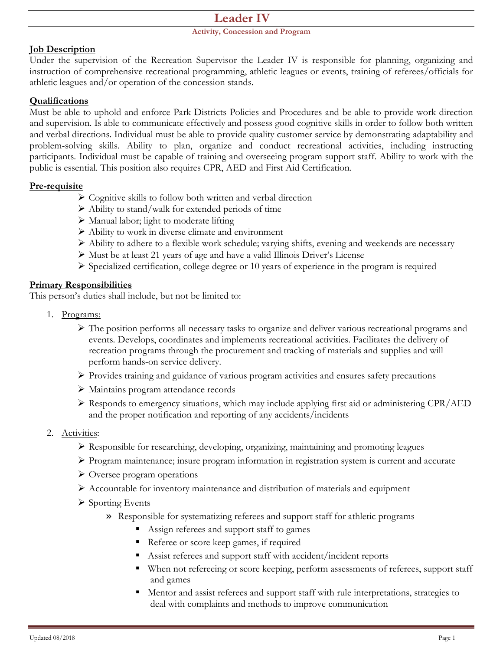## **Leader IV**

#### **Activity, Concession and Program**

#### **Job Description**

Under the supervision of the Recreation Supervisor the Leader IV is responsible for planning, organizing and instruction of comprehensive recreational programming, athletic leagues or events, training of referees/officials for athletic leagues and/or operation of the concession stands.

#### **Qualifications**

Must be able to uphold and enforce Park Districts Policies and Procedures and be able to provide work direction and supervision. Is able to communicate effectively and possess good cognitive skills in order to follow both written and verbal directions. Individual must be able to provide quality customer service by demonstrating adaptability and problem-solving skills. Ability to plan, organize and conduct recreational activities, including instructing participants. Individual must be capable of training and overseeing program support staff. Ability to work with the public is essential. This position also requires CPR, AED and First Aid Certification.

#### **Pre-requisite**

- $\triangleright$  Cognitive skills to follow both written and verbal direction
- $\triangleright$  Ability to stand/walk for extended periods of time
- $\triangleright$  Manual labor; light to moderate lifting
- $\triangleright$  Ability to work in diverse climate and environment
- Ability to adhere to a flexible work schedule; varying shifts, evening and weekends are necessary
- Must be at least 21 years of age and have a valid Illinois Driver's License
- $\triangleright$  Specialized certification, college degree or 10 years of experience in the program is required

#### **Primary Responsibilities**

This person's duties shall include, but not be limited to:

- 1. Programs:
	- $\triangleright$  The position performs all necessary tasks to organize and deliver various recreational programs and events. Develops, coordinates and implements recreational activities. Facilitates the delivery of recreation programs through the procurement and tracking of materials and supplies and will perform hands-on service delivery.
	- Provides training and guidance of various program activities and ensures safety precautions
	- Maintains program attendance records
	- Responds to emergency situations, which may include applying first aid or administering CPR/AED and the proper notification and reporting of any accidents/incidents
- 2. Activities:
	- $\triangleright$  Responsible for researching, developing, organizing, maintaining and promoting leagues
	- Program maintenance; insure program information in registration system is current and accurate
	- Oversee program operations
	- $\triangleright$  Accountable for inventory maintenance and distribution of materials and equipment
	- $\triangleright$  Sporting Events
		- » Responsible for systematizing referees and support staff for athletic programs
			- Assign referees and support staff to games
			- Referee or score keep games, if required
			- Assist referees and support staff with accident/incident reports
			- When not refereeing or score keeping, perform assessments of referees, support staff and games
			- Mentor and assist referees and support staff with rule interpretations, strategies to deal with complaints and methods to improve communication